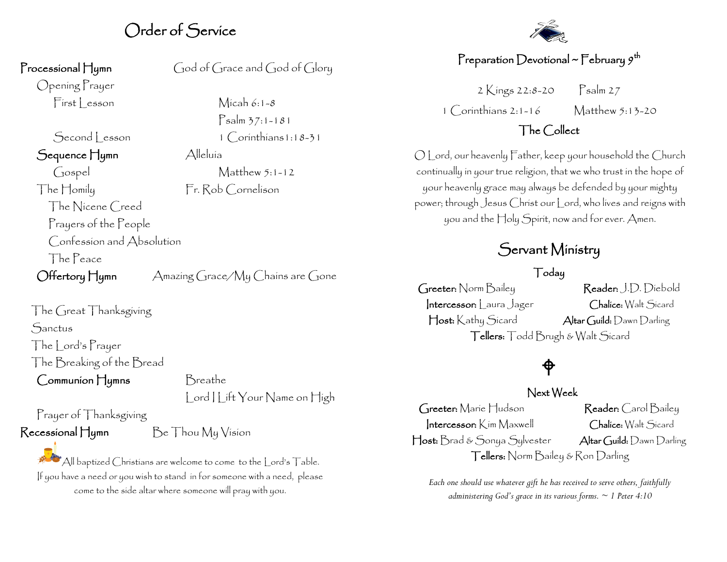### Order of Service

Opening Prayer

Second Lesson 1 Corinthians1:18-31 Sequence Hymn Alleluía Gospel Matthew 5:1-12 The Homily Fr. Rob Cornelison The Nicene Creed Prayers of the People Confession and Absolution The Peace

Processional Hymn God of Grace and God of Glory

First Lesson Micah 6:1-8 Psalm 37:1-181

Offertory Hymn Amazing Grace/My Chains are Gone

The Great Thanksgiving **Sanctus** The Lord's Prayer The Breaking of the Bread Communion Hymns Breathe

| ord | | ift Your Name on High

Prayer of Thanksgiving

 $R$ ecessional Hymn  $Be$  Thou My Vision

All baptized Christians are welcome to come to the Lord's Table. If you have a need or you wish to stand in for someone with a need, please come to the side altar where someone will pray with you.



### Preparation Devotional ~ February  $g^\text{th}$

2 Kings 22:8-20 Psalm 27 1 Corinthians 2:1-16 Matthew 5:13-20

### The Collect

O Lord, our heavenly Father, keep your household the Church continually in your true religion, that we who trust in the hope of your heavenly grace may always be defended by your mighty power; through Jesus Christ our Lord, who lives and reigns with you and the Holy Spirit, now and for ever. Amen.

### Servant Ministry

#### Today

Greeter: Norm Bailey Reader: J.D. Diebold Intercessor: Laura Jager Chalice: Walt Sicard Host: Kathy Sicard Altar Guild: Dawn Darling Tellers: Todd Brugh & Walt Sicard

# $\bigoplus$

#### Next Week

Greeter: Marie Hudson Reader: Carol Bailey Intercessor: Kim Maxwell Chalice: Walt Sicard Host: Brad & Sonya Sylvester Altar Guild: Dawn Darling Tellers: Norm Bailey & Ron Darling

*Each one should use whatever gift he has received to serve others, faithfully administering God's grace in its various forms. ~ 1 Peter 4:10*